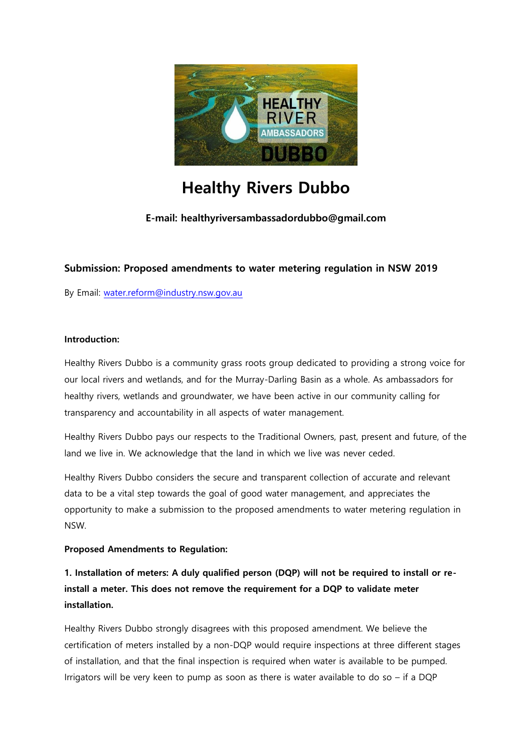

# **Healthy Rivers Dubbo**

**E-mail: healthyriversambassadordubbo@gmail.com**

#### **Submission: Proposed amendments to water metering regulation in NSW 2019**

By Email: [water.reform@industry.nsw.gov.au](mailto:water.reform@industry.nsw.gov.au)

#### **Introduction:**

Healthy Rivers Dubbo is a community grass roots group dedicated to providing a strong voice for our local rivers and wetlands, and for the Murray-Darling Basin as a whole. As ambassadors for healthy rivers, wetlands and groundwater, we have been active in our community calling for transparency and accountability in all aspects of water management.

Healthy Rivers Dubbo pays our respects to the Traditional Owners, past, present and future, of the land we live in. We acknowledge that the land in which we live was never ceded.

Healthy Rivers Dubbo considers the secure and transparent collection of accurate and relevant data to be a vital step towards the goal of good water management, and appreciates the opportunity to make a submission to the proposed amendments to water metering regulation in NSW.

#### **Proposed Amendments to Regulation:**

**1. Installation of meters: A duly qualified person (DQP) will not be required to install or reinstall a meter. This does not remove the requirement for a DQP to validate meter installation.** 

Healthy Rivers Dubbo strongly disagrees with this proposed amendment. We believe the certification of meters installed by a non-DQP would require inspections at three different stages of installation, and that the final inspection is required when water is available to be pumped. Irrigators will be very keen to pump as soon as there is water available to do so  $-$  if a DQP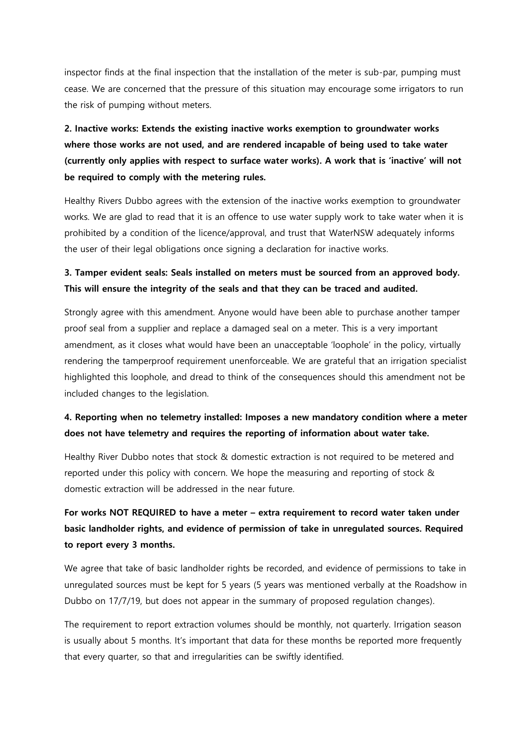inspector finds at the final inspection that the installation of the meter is sub-par, pumping must cease. We are concerned that the pressure of this situation may encourage some irrigators to run the risk of pumping without meters.

# **2. Inactive works: Extends the existing inactive works exemption to groundwater works where those works are not used, and are rendered incapable of being used to take water (currently only applies with respect to surface water works). A work that is 'inactive' will not be required to comply with the metering rules.**

Healthy Rivers Dubbo agrees with the extension of the inactive works exemption to groundwater works. We are glad to read that it is an offence to use water supply work to take water when it is prohibited by a condition of the licence/approval, and trust that WaterNSW adequately informs the user of their legal obligations once signing a declaration for inactive works.

### **3. Tamper evident seals: Seals installed on meters must be sourced from an approved body. This will ensure the integrity of the seals and that they can be traced and audited.**

Strongly agree with this amendment. Anyone would have been able to purchase another tamper proof seal from a supplier and replace a damaged seal on a meter. This is a very important amendment, as it closes what would have been an unacceptable 'loophole' in the policy, virtually rendering the tamperproof requirement unenforceable. We are grateful that an irrigation specialist highlighted this loophole, and dread to think of the consequences should this amendment not be included changes to the legislation.

### **4. Reporting when no telemetry installed: Imposes a new mandatory condition where a meter does not have telemetry and requires the reporting of information about water take.**

Healthy River Dubbo notes that stock & domestic extraction is not required to be metered and reported under this policy with concern. We hope the measuring and reporting of stock & domestic extraction will be addressed in the near future.

### **For works NOT REQUIRED to have a meter – extra requirement to record water taken under basic landholder rights, and evidence of permission of take in unregulated sources. Required to report every 3 months.**

We agree that take of basic landholder rights be recorded, and evidence of permissions to take in unregulated sources must be kept for 5 years (5 years was mentioned verbally at the Roadshow in Dubbo on 17/7/19, but does not appear in the summary of proposed regulation changes).

The requirement to report extraction volumes should be monthly, not quarterly. Irrigation season is usually about 5 months. It's important that data for these months be reported more frequently that every quarter, so that and irregularities can be swiftly identified.